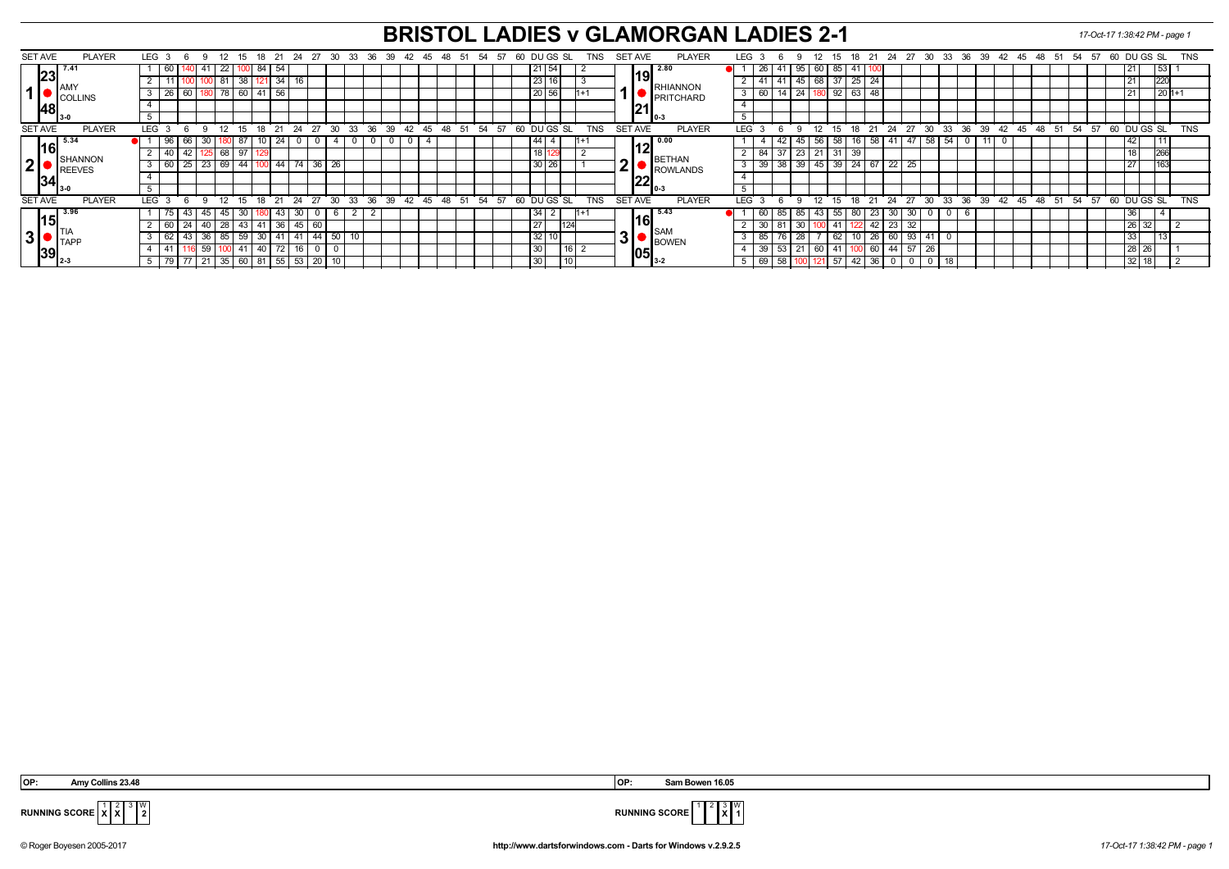## **BRISTOL LADIES v GLAMORGAN LADIES 2-1** *17-Oct-17 1:38:42 PM - page 1*

| <b>SET AVE</b>                        | <b>PLAYER</b>                                                                             | LEG 3      |    | - 6        | - Q      | -12                | -15     | - 18     |                 | -21         | -24   | -27   | - 30         |            |       |  |    | 33 36 39 42 45   | -48   | - 51 | -54 | - 57  | 60 |                    | DU GS SL         |         | TNS        |            |                | SET AVE      | <b>PLAYER</b>    | <b>LEG</b> |                 | 'n       | -9               | 12              | 15 | -18 | 21          | - 24            | 27 |     |                 |    |    | 30 33 36 39 42 45 48 |       |            | - 51     | 54 57 |    | 60 DU GS SL     |     |         | <b>TNS</b> |  |  |
|---------------------------------------|-------------------------------------------------------------------------------------------|------------|----|------------|----------|--------------------|---------|----------|-----------------|-------------|-------|-------|--------------|------------|-------|--|----|------------------|-------|------|-----|-------|----|--------------------|------------------|---------|------------|------------|----------------|--------------|------------------|------------|-----------------|----------|------------------|-----------------|----|-----|-------------|-----------------|----|-----|-----------------|----|----|----------------------|-------|------------|----------|-------|----|-----------------|-----|---------|------------|--|--|
| 23                                    |                                                                                           |            | 60 |            |          | 22                 |         | -84      | l 54            |             |       |       |              |            |       |  |    |                  |       |      |     |       |    | 54                 |                  |         |            |            |                | $\vert$ 2.80 |                  |            | 26              |          | 95               | 60              | 85 |     |             |                 |    |     |                 |    |    |                      |       |            |          |       |    |                 | 53  |         |            |  |  |
|                                       | $\blacksquare$ $\blacksquare$ $\blacksquare$                                              |            |    |            |          |                    | 38 I    |          |                 | 34          |       |       |              |            |       |  |    |                  |       |      |     |       |    | 23                 |                  |         |            |            |                |              | <b>IRHIANNON</b> |            | -41             |          | 45               | $\sqrt{68}$     |    | 25  | l 24        |                 |    |     |                 |    |    |                      |       |            |          |       |    |                 | 220 |         |            |  |  |
|                                       | $\blacksquare$ $\blacksquare$ $\blacksquare$ $\blacksquare$ $\blacksquare$ $\blacksquare$ |            | 26 | -60        |          | 78                 | 60      |          | 56              |             |       |       |              |            |       |  |    |                  |       |      |     |       |    | 20 56              |                  |         |            |            |                |              | <b>PRITCHARD</b> |            | 60              |          | 24               |                 | 92 | 63  |             |                 |    |     |                 |    |    |                      |       |            |          |       |    |                 |     | $1201+$ |            |  |  |
| 48                                    |                                                                                           |            |    |            |          |                    |         |          |                 |             |       |       |              |            |       |  |    |                  |       |      |     |       |    |                    |                  |         |            |            |                | 121          |                  |            |                 |          |                  |                 |    |     |             |                 |    |     |                 |    |    |                      |       |            |          |       |    |                 |     |         |            |  |  |
|                                       |                                                                                           |            |    |            |          |                    |         |          |                 |             |       |       |              |            |       |  |    |                  |       |      |     |       |    |                    |                  |         |            |            |                |              |                  | II 0-3     |                 |          |                  |                 |    |     |             |                 |    |     |                 |    |    |                      |       |            |          |       |    |                 |     |         |            |  |  |
| <b>SET AVE</b>                        | <b>PLAYER</b>                                                                             | <b>LEG</b> |    | $\epsilon$ | $\alpha$ | 12                 | 15      |          | $18$ 21         | 24          |       | 27 30 |              | 33         | 36 39 |  |    | $42 \t 45 \t 48$ |       | 51   | 54  | 57    | 60 |                    | DU GS SL         |         | <b>TNS</b> | <b>SET</b> |                | <b>AVE</b>   | <b>PLAYER</b>    | <b>LEG</b> |                 | <b>6</b> | $\alpha$         | 12              | 15 |     | 18 21 24    |                 | 27 | 30  | $33^\circ$      |    |    | $36 \t39 \t42 \t45$  |       | $48 \t 51$ |          | 54    | 57 | 60 DU GS SL     |     |         | <b>TNS</b> |  |  |
| 16                                    | 5.34                                                                                      |            | 96 |            |          |                    |         |          |                 | 24          |       |       | -4           |            |       |  |    |                  |       |      |     |       |    | 44                 |                  |         |            |            |                | 0.00         |                  |            |                 |          | 45               | 56              | 58 |     | 58          | 41              | 47 | 58  | 54              |    |    |                      |       |            |          |       |    | 42.             |     |         |            |  |  |
|                                       | <b>SHANNON</b>                                                                            |            | 40 |            |          | 68                 |         |          |                 |             |       |       |              |            |       |  |    |                  |       |      |     |       |    | 18                 |                  |         |            |            |                |              | BETHAN           |            | 84              |          | 23               | $\sqrt{21}$     |    | 39  |             |                 |    |     |                 |    |    |                      |       |            |          |       |    | $\overline{10}$ | 266 |         |            |  |  |
| 2 <sub>l</sub>                        | REEVES                                                                                    |            | 60 |            | 23       | 69                 | 44      |          |                 | $\sqrt{44}$ |       | 36    | 26           |            |       |  |    |                  |       |      |     |       |    | 30<br>$\sim$<br>20 |                  |         |            | Ą          |                |              | ROWLANDS         |            | 39              | 38       | 39               | 45              | 39 | 24  | $\sqrt{67}$ | $\overline{22}$ | 25 |     |                 |    |    |                      |       |            |          |       |    |                 |     |         |            |  |  |
| 34                                    |                                                                                           |            |    |            |          |                    |         |          |                 |             |       |       |              |            |       |  |    |                  |       |      |     |       |    |                    |                  |         |            |            |                | מרו          |                  |            |                 |          |                  |                 |    |     |             |                 |    |     |                 |    |    |                      |       |            |          |       |    |                 |     |         |            |  |  |
|                                       |                                                                                           |            |    |            |          |                    |         |          |                 |             |       |       |              |            |       |  |    |                  |       |      |     |       |    |                    |                  |         |            |            |                | ▎᠘᠘▏<br>10-3 |                  |            |                 |          |                  |                 |    |     |             |                 |    |     |                 |    |    |                      |       |            |          |       |    |                 |     |         |            |  |  |
| <b>SET AVE</b>                        | <b>PLAYER</b>                                                                             | <b>LEG</b> |    | -6         | $\alpha$ | 12 <sup>°</sup>    | $15-15$ |          | 18 21           |             | 24    | 27    | $30^{\circ}$ | $33^\circ$ | 36 39 |  | 42 |                  | 45 48 | 51   |     | 54 57 | 60 |                    | DU GS SL         |         | <b>TNS</b> |            | <b>SET AVE</b> |              | <b>PLAYER</b>    | LEG        |                 | ĥ        | 9                | 12              | 15 | 18  | 21 24       |                 | 27 | 30  | 33 <sup>°</sup> | 36 | 39 | 42                   | 45 48 |            | 51 54 57 |       |    | 60 DU GS SL     |     |         | <b>TNS</b> |  |  |
| 15                                    | 3.96                                                                                      |            |    |            |          | 45                 |         |          |                 | -43         |       |       | O            |            |       |  |    |                  |       |      |     |       |    | 34                 |                  |         |            |            |                | 5.43         |                  |            | 60              | 85       |                  | 43              |    | ୪୯  | -23         | 30              | 30 |     |                 |    |    |                      |       |            |          |       |    | 36              |     |         |            |  |  |
|                                       |                                                                                           |            | 60 |            |          | 28                 |         |          | $\overline{36}$ |             | 45 I  |       |              |            |       |  |    |                  |       |      |     |       |    | 27                 | 124              |         |            |            |                | <b>I</b> SAM |                  |            | 30              |          |                  |                 |    |     |             |                 | 32 |     |                 |    |    |                      |       |            |          |       |    | 26 32           |     |         |            |  |  |
| $3$ $\bullet$ $\mathsf{L}^{\text{H}}$ |                                                                                           |            | 62 |            |          | 85                 | -59     | 30       |                 |             |       | 44    | 50           | 10         |       |  |    |                  |       |      |     |       |    | 32                 |                  |         |            |            | 'ا ک           |              |                  |            | 85              |          |                  |                 |    |     |             |                 | 93 | -41 |                 |    |    |                      |       |            |          |       |    | 33              |     |         |            |  |  |
|                                       |                                                                                           |            | 41 |            |          |                    |         |          |                 | 72          |       | 0     |              |            |       |  |    |                  |       |      |     |       |    | 30                 |                  | $116$ 2 |            |            |                | 105          | <b>BOWEN</b>     |            | $\overline{39}$ |          | 21               | $\overline{60}$ |    |     | 60          | 44              | 57 | -26 |                 |    |    |                      |       |            |          |       |    | 28 26           |     |         |            |  |  |
| $\left\  39 \right\ _{2\cdot 3}$      |                                                                                           |            | 79 |            |          | $21 \overline{35}$ |         | 60 81 55 |                 |             | 53 20 |       | 10           |            |       |  |    |                  |       |      |     |       |    | 30                 | $\overline{110}$ |         |            |            |                | 13-2         |                  |            | 69              | 58       | 100 121 57 42 36 |                 |    |     |             | $0$   0         |    | 18  |                 |    |    |                      |       |            |          |       |    | 32118           |     |         |            |  |  |

 **OP: Amy Collins 23.48 OP: Sam Bowen 16.05**



**RUNNING SCORE X**

W